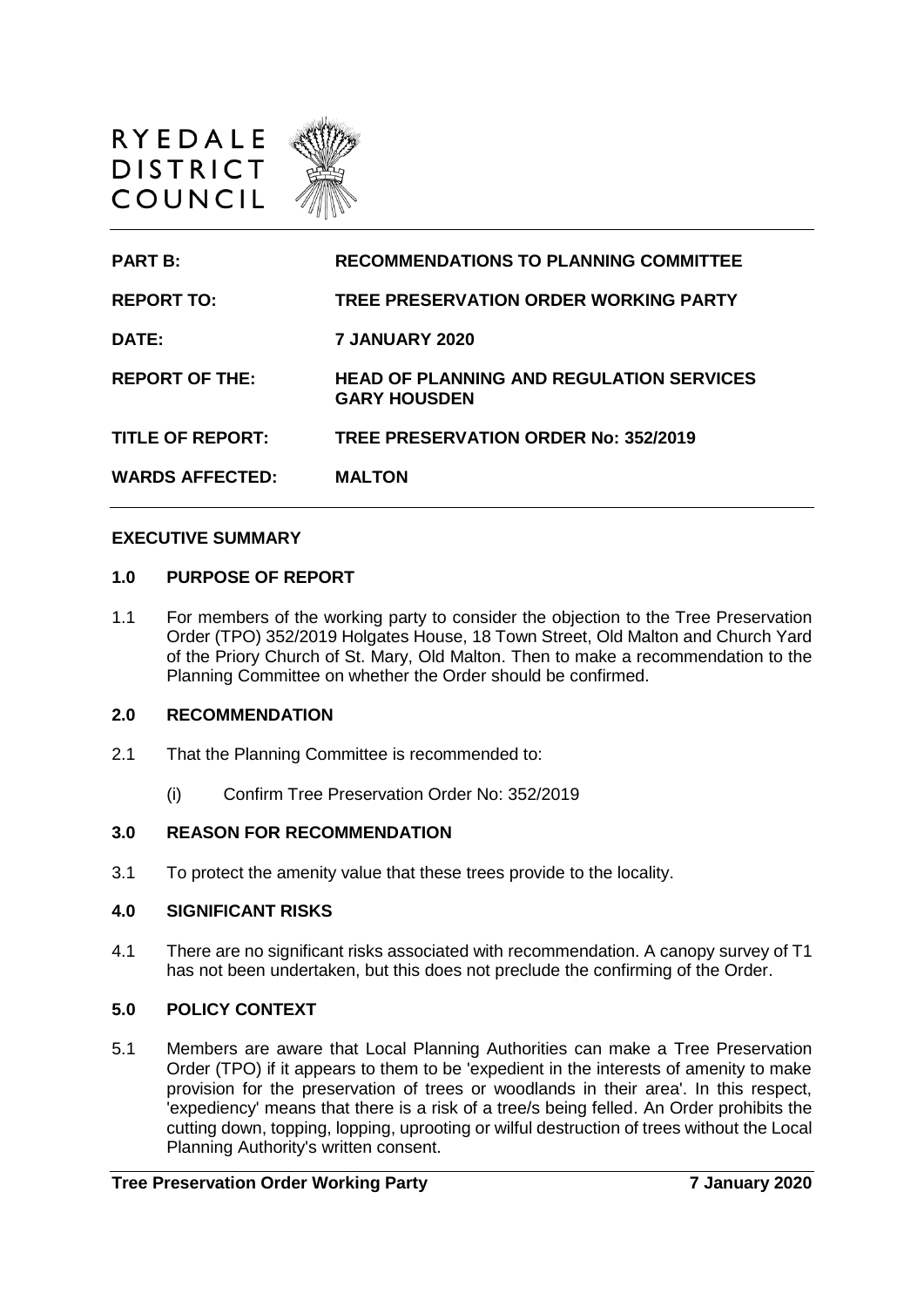

| <b>PART B:</b>          | <b>RECOMMENDATIONS TO PLANNING COMMITTEE</b>                           |
|-------------------------|------------------------------------------------------------------------|
| <b>REPORT TO:</b>       | TREE PRESERVATION ORDER WORKING PARTY                                  |
| <b>DATE:</b>            | <b>7 JANUARY 2020</b>                                                  |
| <b>REPORT OF THE:</b>   | <b>HEAD OF PLANNING AND REGULATION SERVICES</b><br><b>GARY HOUSDEN</b> |
| <b>TITLE OF REPORT:</b> | TREE PRESERVATION ORDER No: 352/2019                                   |
| <b>WARDS AFFECTED:</b>  | <b>MALTON</b>                                                          |

#### **EXECUTIVE SUMMARY**

#### **1.0 PURPOSE OF REPORT**

1.1 For members of the working party to consider the objection to the Tree Preservation Order (TPO) 352/2019 Holgates House, 18 Town Street, Old Malton and Church Yard of the Priory Church of St. Mary, Old Malton. Then to make a recommendation to the Planning Committee on whether the Order should be confirmed.

#### **2.0 RECOMMENDATION**

- 2.1 That the Planning Committee is recommended to:
	- (i) Confirm Tree Preservation Order No: 352/2019

#### **3.0 REASON FOR RECOMMENDATION**

3.1 To protect the amenity value that these trees provide to the locality.

#### **4.0 SIGNIFICANT RISKS**

4.1 There are no significant risks associated with recommendation. A canopy survey of T1 has not been undertaken, but this does not preclude the confirming of the Order.

### **5.0 POLICY CONTEXT**

5.1 Members are aware that Local Planning Authorities can make a Tree Preservation Order (TPO) if it appears to them to be 'expedient in the interests of amenity to make provision for the preservation of trees or woodlands in their area'. In this respect, 'expediency' means that there is a risk of a tree/s being felled. An Order prohibits the cutting down, topping, lopping, uprooting or wilful destruction of trees without the Local Planning Authority's written consent.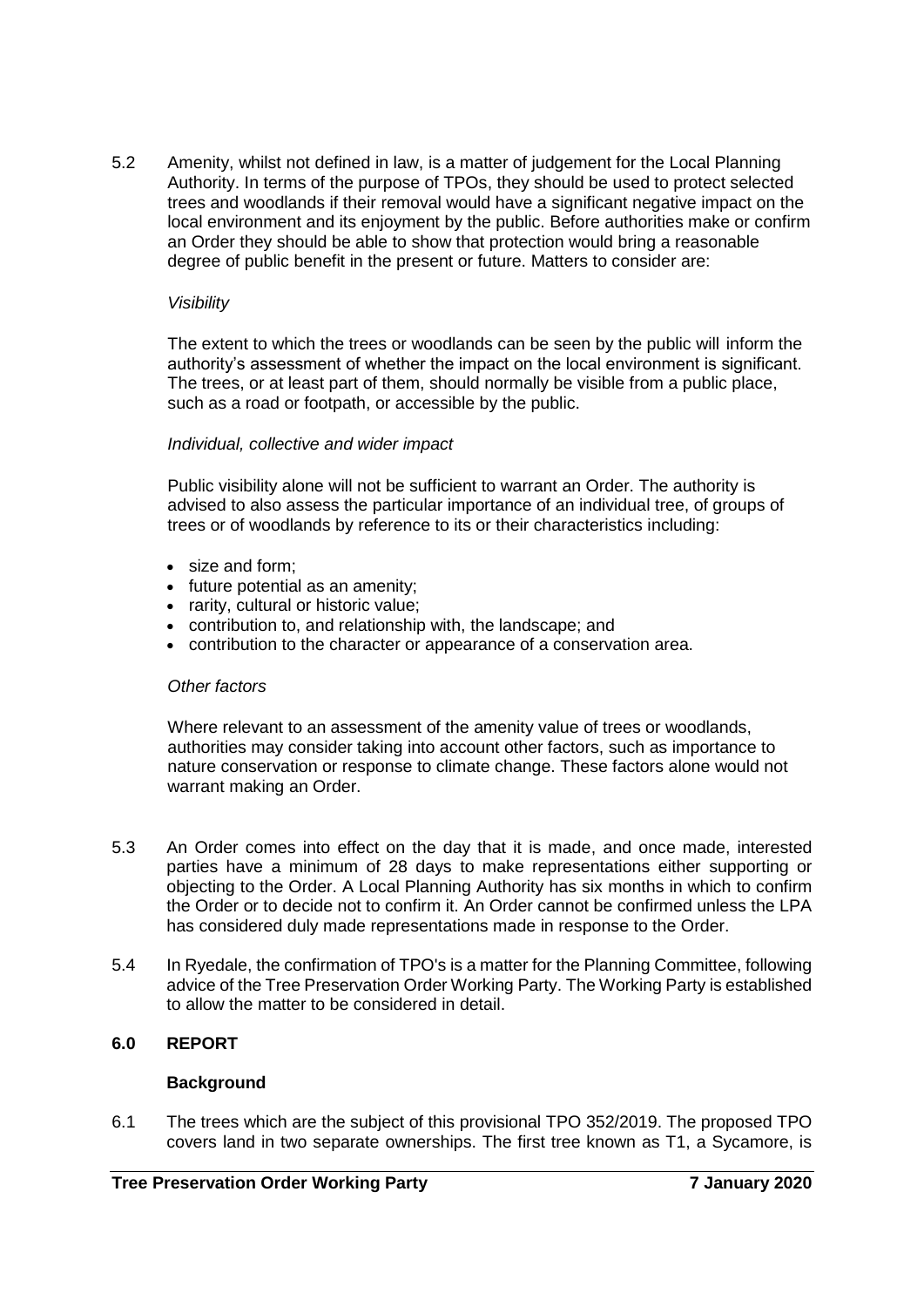5.2 Amenity, whilst not defined in law, is a matter of judgement for the Local Planning Authority. In terms of the purpose of TPOs, they should be used to protect selected trees and woodlands if their removal would have a significant negative impact on the local environment and its enjoyment by the public. Before authorities make or confirm an Order they should be able to show that protection would bring a reasonable degree of public benefit in the present or future. Matters to consider are:

### *Visibility*

The extent to which the trees or woodlands can be seen by the public will inform the authority's assessment of whether the impact on the local environment is significant. The trees, or at least part of them, should normally be visible from a public place, such as a road or footpath, or accessible by the public.

## *Individual, collective and wider impact*

Public visibility alone will not be sufficient to warrant an Order. The authority is advised to also assess the particular importance of an individual tree, of groups of trees or of woodlands by reference to its or their characteristics including:

- size and form;
- future potential as an amenity;
- rarity, cultural or historic value;
- contribution to, and relationship with, the landscape; and
- contribution to the character or appearance of a conservation area.

### *Other factors*

Where relevant to an assessment of the amenity value of trees or woodlands, authorities may consider taking into account other factors, such as importance to nature conservation or response to climate change. These factors alone would not warrant making an Order.

- 5.3 An Order comes into effect on the day that it is made, and once made, interested parties have a minimum of 28 days to make representations either supporting or objecting to the Order. A Local Planning Authority has six months in which to confirm the Order or to decide not to confirm it. An Order cannot be confirmed unless the LPA has considered duly made representations made in response to the Order.
- 5.4 In Ryedale, the confirmation of TPO's is a matter for the Planning Committee, following advice of the Tree Preservation Order Working Party. The Working Party is established to allow the matter to be considered in detail.

# **6.0 REPORT**

### **Background**

6.1 The trees which are the subject of this provisional TPO 352/2019. The proposed TPO covers land in two separate ownerships. The first tree known as T1, a Sycamore, is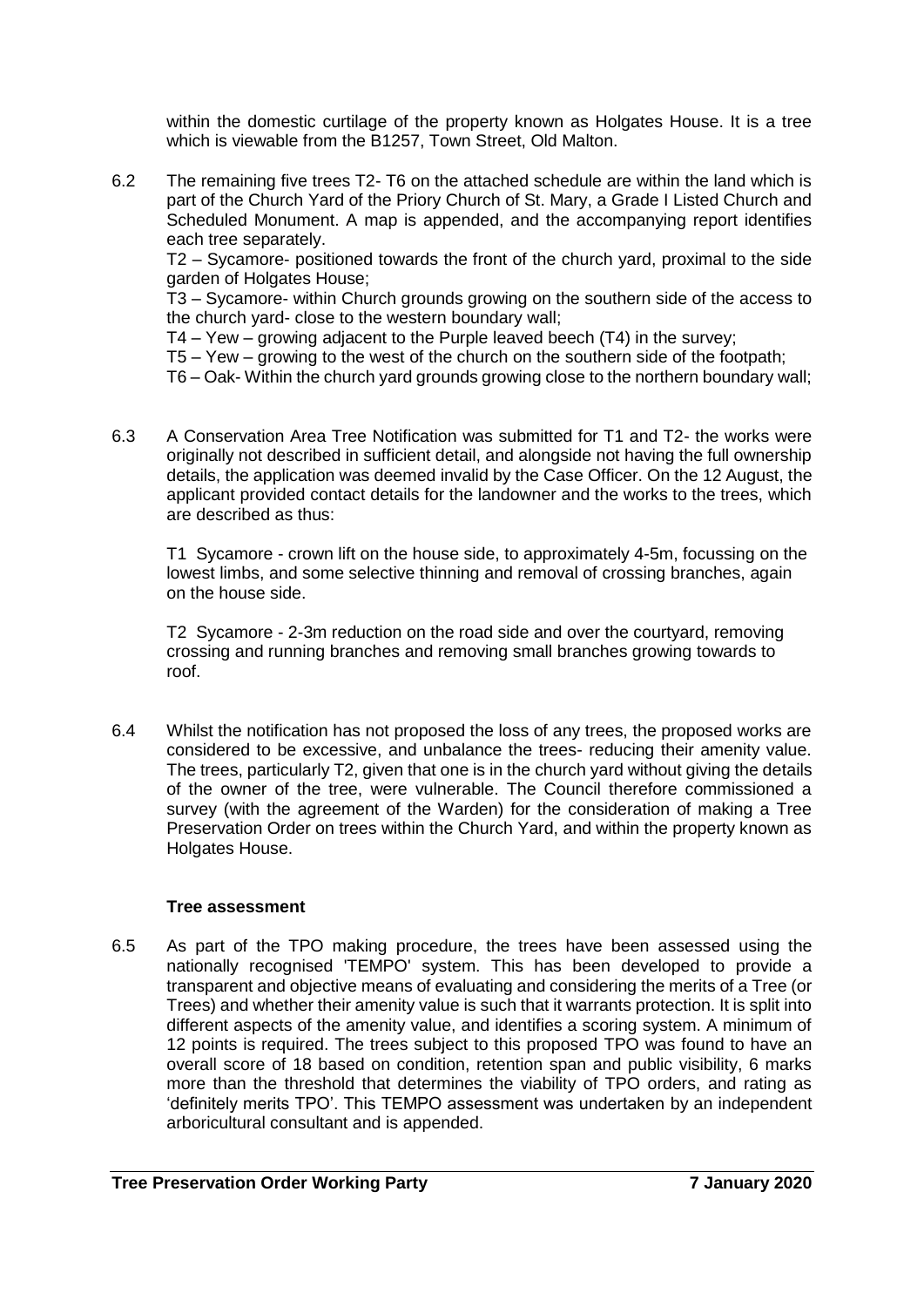within the domestic curtilage of the property known as Holgates House. It is a tree which is viewable from the B1257, Town Street, Old Malton.

6.2 The remaining five trees T2- T6 on the attached schedule are within the land which is part of the Church Yard of the Priory Church of St. Mary, a Grade I Listed Church and Scheduled Monument. A map is appended, and the accompanying report identifies each tree separately.

T2 – Sycamore- positioned towards the front of the church yard, proximal to the side garden of Holgates House;

T3 – Sycamore- within Church grounds growing on the southern side of the access to the church yard- close to the western boundary wall;

T4 – Yew – growing adjacent to the Purple leaved beech (T4) in the survey;

T5 – Yew – growing to the west of the church on the southern side of the footpath;

T6 – Oak- Within the church yard grounds growing close to the northern boundary wall;

6.3 A Conservation Area Tree Notification was submitted for T1 and T2- the works were originally not described in sufficient detail, and alongside not having the full ownership details, the application was deemed invalid by the Case Officer. On the 12 August, the applicant provided contact details for the landowner and the works to the trees, which are described as thus:

T1 Sycamore - crown lift on the house side, to approximately 4-5m, focussing on the lowest limbs, and some selective thinning and removal of crossing branches, again on the house side.

T2 Sycamore - 2-3m reduction on the road side and over the courtyard, removing crossing and running branches and removing small branches growing towards to roof.

6.4 Whilst the notification has not proposed the loss of any trees, the proposed works are considered to be excessive, and unbalance the trees- reducing their amenity value. The trees, particularly T2, given that one is in the church yard without giving the details of the owner of the tree, were vulnerable. The Council therefore commissioned a survey (with the agreement of the Warden) for the consideration of making a Tree Preservation Order on trees within the Church Yard, and within the property known as Holgates House.

### **Tree assessment**

6.5 As part of the TPO making procedure, the trees have been assessed using the nationally recognised 'TEMPO' system. This has been developed to provide a transparent and objective means of evaluating and considering the merits of a Tree (or Trees) and whether their amenity value is such that it warrants protection. It is split into different aspects of the amenity value, and identifies a scoring system. A minimum of 12 points is required. The trees subject to this proposed TPO was found to have an overall score of 18 based on condition, retention span and public visibility, 6 marks more than the threshold that determines the viability of TPO orders, and rating as 'definitely merits TPO'. This TEMPO assessment was undertaken by an independent arboricultural consultant and is appended.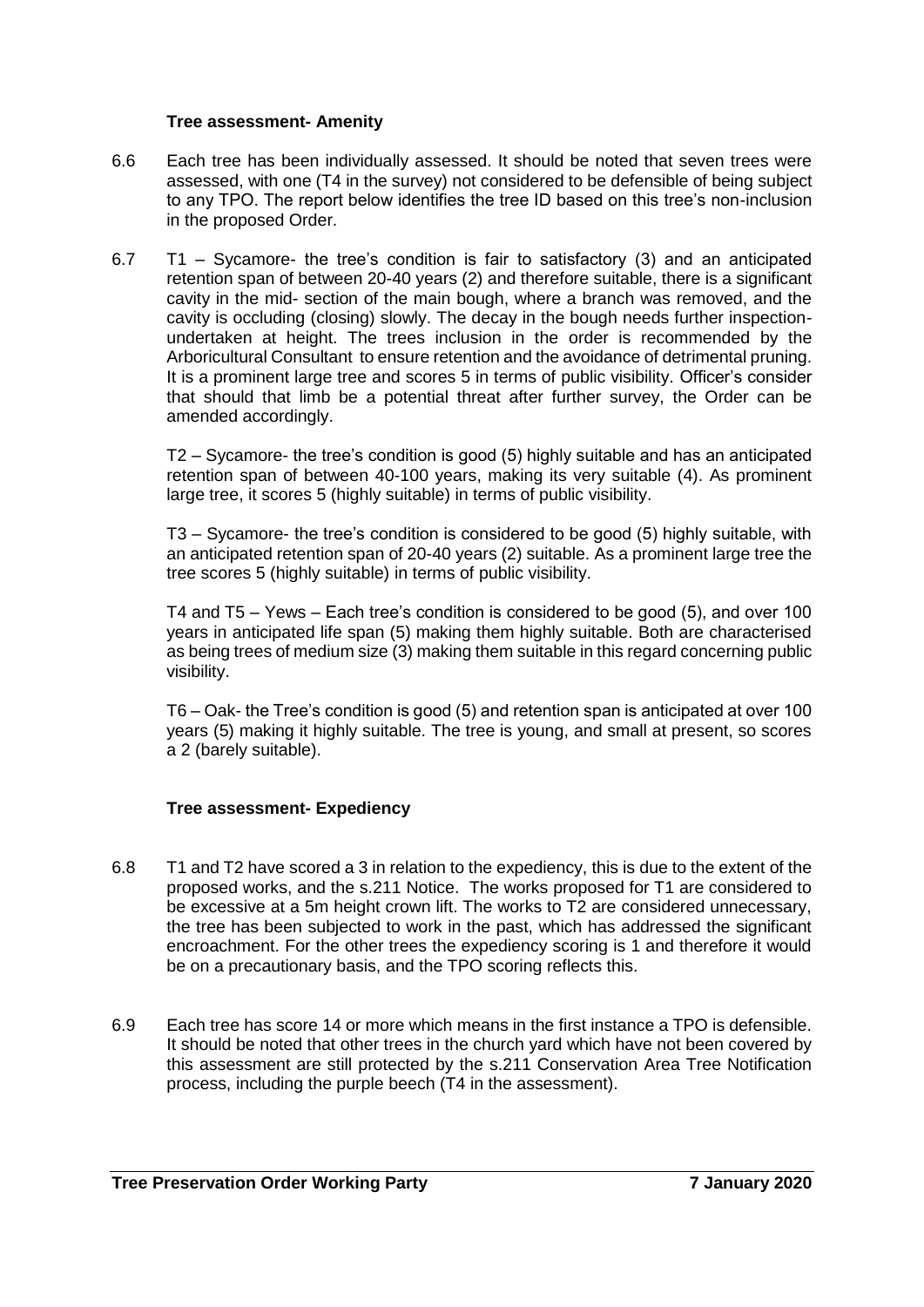### **Tree assessment- Amenity**

- 6.6 Each tree has been individually assessed. It should be noted that seven trees were assessed, with one (T4 in the survey) not considered to be defensible of being subject to any TPO. The report below identifies the tree ID based on this tree's non-inclusion in the proposed Order.
- 6.7 T1 Sycamore- the tree's condition is fair to satisfactory (3) and an anticipated retention span of between 20-40 years (2) and therefore suitable, there is a significant cavity in the mid- section of the main bough, where a branch was removed, and the cavity is occluding (closing) slowly. The decay in the bough needs further inspectionundertaken at height. The trees inclusion in the order is recommended by the Arboricultural Consultant to ensure retention and the avoidance of detrimental pruning. It is a prominent large tree and scores 5 in terms of public visibility. Officer's consider that should that limb be a potential threat after further survey, the Order can be amended accordingly.

T2 – Sycamore- the tree's condition is good (5) highly suitable and has an anticipated retention span of between 40-100 years, making its very suitable (4). As prominent large tree, it scores 5 (highly suitable) in terms of public visibility.

T3 – Sycamore- the tree's condition is considered to be good (5) highly suitable, with an anticipated retention span of 20-40 years (2) suitable. As a prominent large tree the tree scores 5 (highly suitable) in terms of public visibility.

T4 and T5 – Yews – Each tree's condition is considered to be good (5), and over 100 years in anticipated life span (5) making them highly suitable. Both are characterised as being trees of medium size (3) making them suitable in this regard concerning public visibility.

T6 – Oak- the Tree's condition is good (5) and retention span is anticipated at over 100 years (5) making it highly suitable. The tree is young, and small at present, so scores a 2 (barely suitable).

# **Tree assessment- Expediency**

- 6.8 T1 and T2 have scored a 3 in relation to the expediency, this is due to the extent of the proposed works, and the s.211 Notice. The works proposed for T1 are considered to be excessive at a 5m height crown lift. The works to T2 are considered unnecessary, the tree has been subjected to work in the past, which has addressed the significant encroachment. For the other trees the expediency scoring is 1 and therefore it would be on a precautionary basis, and the TPO scoring reflects this.
- 6.9 Each tree has score 14 or more which means in the first instance a TPO is defensible. It should be noted that other trees in the church yard which have not been covered by this assessment are still protected by the s.211 Conservation Area Tree Notification process, including the purple beech (T4 in the assessment).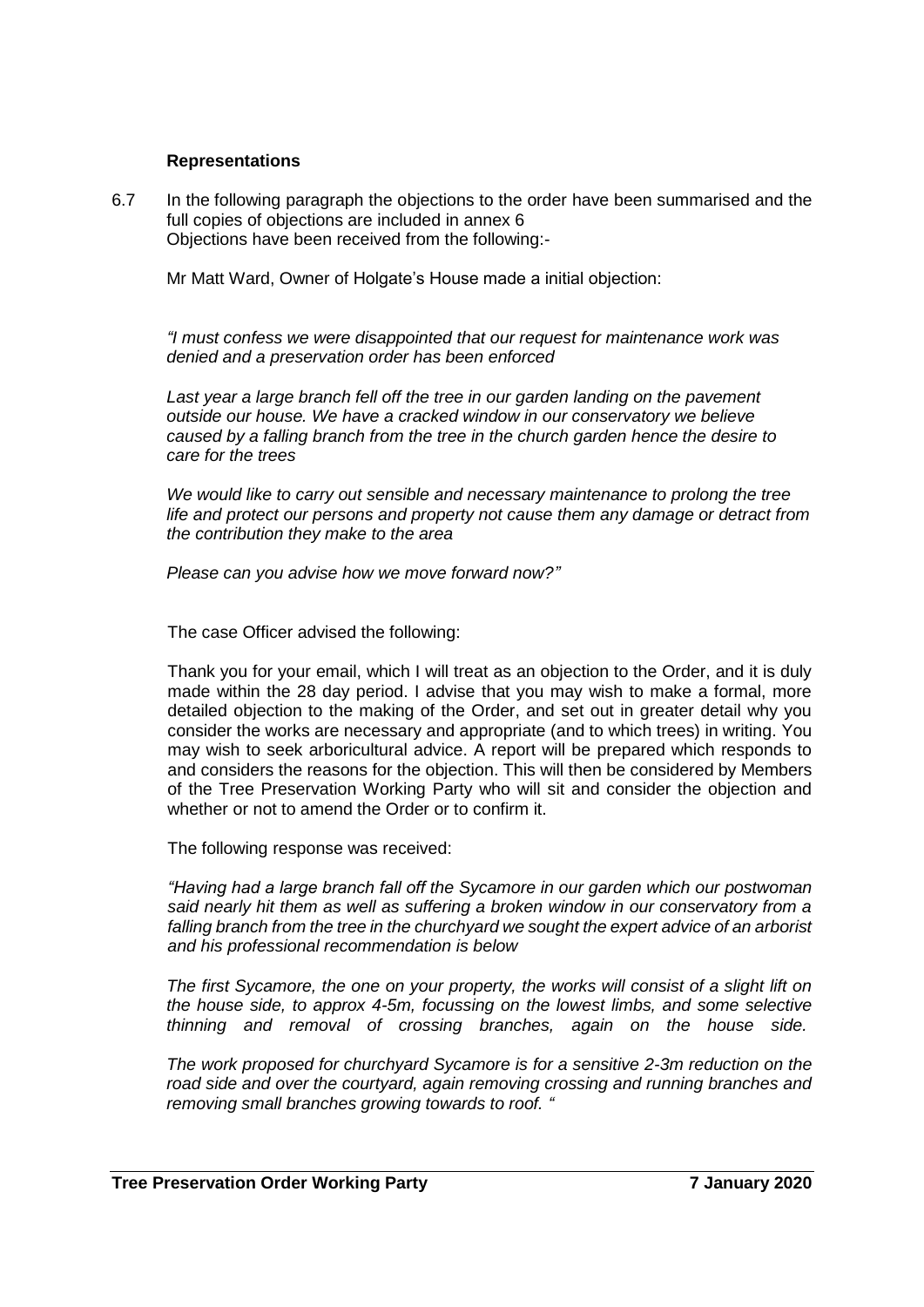### **Representations**

6.7 In the following paragraph the objections to the order have been summarised and the full copies of objections are included in annex 6 Objections have been received from the following:-

Mr Matt Ward, Owner of Holgate's House made a initial objection:

*"I must confess we were disappointed that our request for maintenance work was denied and a preservation order has been enforced*

Last year a large branch fell off the tree in our garden landing on the pavement *outside our house. We have a cracked window in our conservatory we believe caused by a falling branch from the tree in the church garden hence the desire to care for the trees*

*We would like to carry out sensible and necessary maintenance to prolong the tree life and protect our persons and property not cause them any damage or detract from the contribution they make to the area*

*Please can you advise how we move forward now?"*

The case Officer advised the following:

Thank you for your email, which I will treat as an objection to the Order, and it is duly made within the 28 day period. I advise that you may wish to make a formal, more detailed objection to the making of the Order, and set out in greater detail why you consider the works are necessary and appropriate (and to which trees) in writing. You may wish to seek arboricultural advice. A report will be prepared which responds to and considers the reasons for the objection. This will then be considered by Members of the Tree Preservation Working Party who will sit and consider the objection and whether or not to amend the Order or to confirm it.

The following response was received:

*"Having had a large branch fall off the Sycamore in our garden which our postwoman*  said nearly hit them as well as suffering a broken window in our conservatory from a *falling branch from the tree in the churchyard we sought the expert advice of an arborist and his professional recommendation is below*

*The first Sycamore, the one on your property, the works will consist of a slight lift on the house side, to approx 4-5m, focussing on the lowest limbs, and some selective thinning and removal of crossing branches, again on the house side.*

*The work proposed for churchyard Sycamore is for a sensitive 2-3m reduction on the road side and over the courtyard, again removing crossing and running branches and removing small branches growing towards to roof. "*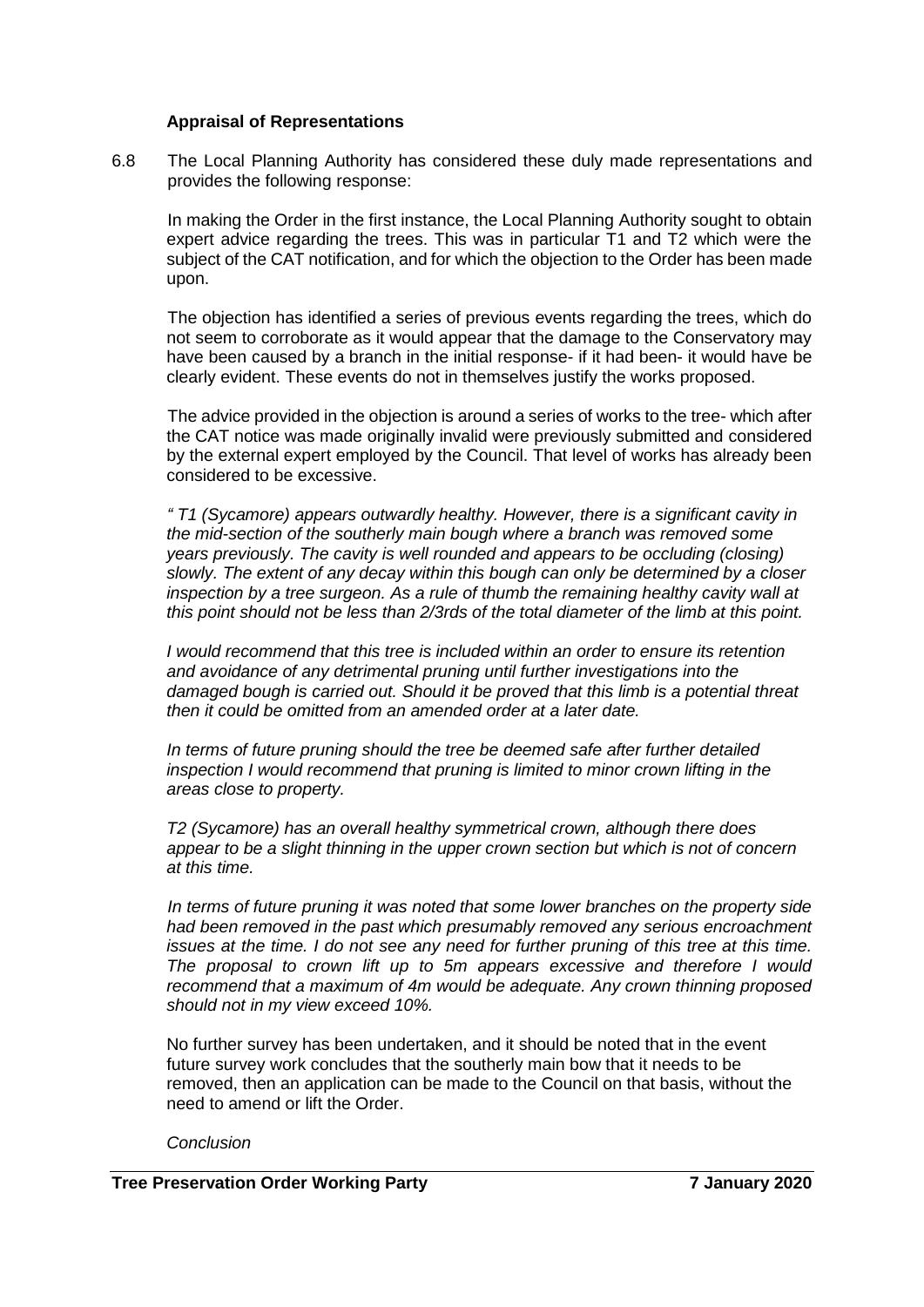#### **Appraisal of Representations**

6.8 The Local Planning Authority has considered these duly made representations and provides the following response:

In making the Order in the first instance, the Local Planning Authority sought to obtain expert advice regarding the trees. This was in particular T1 and T2 which were the subject of the CAT notification, and for which the objection to the Order has been made upon.

The objection has identified a series of previous events regarding the trees, which do not seem to corroborate as it would appear that the damage to the Conservatory may have been caused by a branch in the initial response- if it had been- it would have be clearly evident. These events do not in themselves justify the works proposed.

The advice provided in the objection is around a series of works to the tree- which after the CAT notice was made originally invalid were previously submitted and considered by the external expert employed by the Council. That level of works has already been considered to be excessive.

*" T1 (Sycamore) appears outwardly healthy. However, there is a significant cavity in the mid-section of the southerly main bough where a branch was removed some years previously. The cavity is well rounded and appears to be occluding (closing) slowly. The extent of any decay within this bough can only be determined by a closer inspection by a tree surgeon. As a rule of thumb the remaining healthy cavity wall at this point should not be less than 2/3rds of the total diameter of the limb at this point.* 

*I* would recommend that this tree is included within an order to ensure its retention *and avoidance of any detrimental pruning until further investigations into the damaged bough is carried out. Should it be proved that this limb is a potential threat then it could be omitted from an amended order at a later date.* 

*In terms of future pruning should the tree be deemed safe after further detailed inspection I would recommend that pruning is limited to minor crown lifting in the areas close to property.* 

*T2 (Sycamore) has an overall healthy symmetrical crown, although there does appear to be a slight thinning in the upper crown section but which is not of concern at this time.* 

*In terms of future pruning it was noted that some lower branches on the property side had been removed in the past which presumably removed any serious encroachment issues at the time. I do not see any need for further pruning of this tree at this time. The proposal to crown lift up to 5m appears excessive and therefore I would recommend that a maximum of 4m would be adequate. Any crown thinning proposed should not in my view exceed 10%.*

No further survey has been undertaken, and it should be noted that in the event future survey work concludes that the southerly main bow that it needs to be removed, then an application can be made to the Council on that basis, without the need to amend or lift the Order.

#### *Conclusion*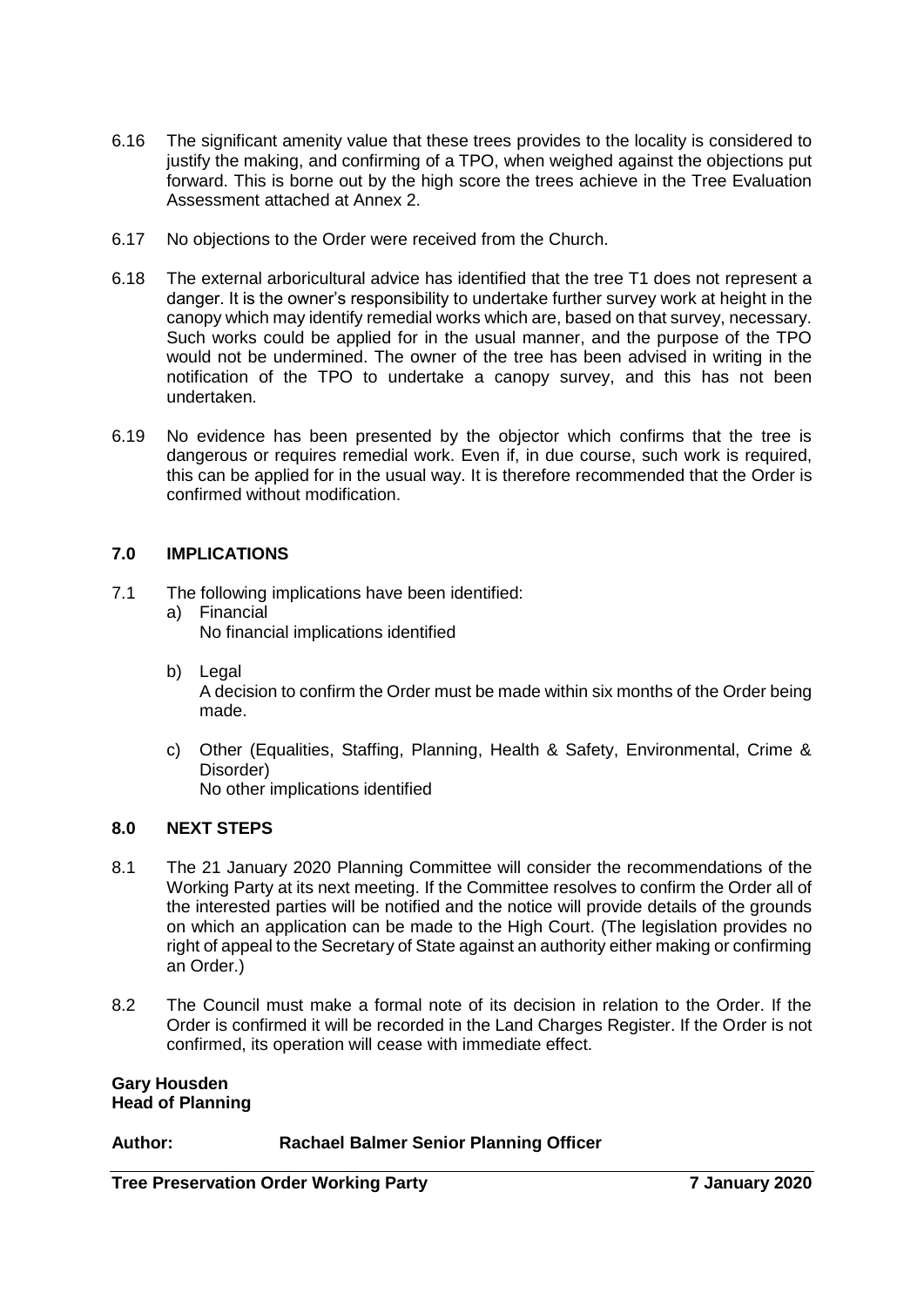- 6.16 The significant amenity value that these trees provides to the locality is considered to justify the making, and confirming of a TPO, when weighed against the objections put forward. This is borne out by the high score the trees achieve in the Tree Evaluation Assessment attached at Annex 2.
- 6.17 No objections to the Order were received from the Church.
- 6.18 The external arboricultural advice has identified that the tree T1 does not represent a danger. It is the owner's responsibility to undertake further survey work at height in the canopy which may identify remedial works which are, based on that survey, necessary. Such works could be applied for in the usual manner, and the purpose of the TPO would not be undermined. The owner of the tree has been advised in writing in the notification of the TPO to undertake a canopy survey, and this has not been undertaken.
- 6.19 No evidence has been presented by the objector which confirms that the tree is dangerous or requires remedial work. Even if, in due course, such work is required, this can be applied for in the usual way. It is therefore recommended that the Order is confirmed without modification.

# **7.0 IMPLICATIONS**

- 7.1 The following implications have been identified:
	- a) Financial No financial implications identified
	- b) Legal A decision to confirm the Order must be made within six months of the Order being made.
	- c) Other (Equalities, Staffing, Planning, Health & Safety, Environmental, Crime & Disorder) No other implications identified

### **8.0 NEXT STEPS**

- 8.1 The 21 January 2020 Planning Committee will consider the recommendations of the Working Party at its next meeting. If the Committee resolves to confirm the Order all of the interested parties will be notified and the notice will provide details of the grounds on which an application can be made to the High Court. (The legislation provides no right of appeal to the Secretary of State against an authority either making or confirming an Order.)
- 8.2 The Council must make a formal note of its decision in relation to the Order. If the Order is confirmed it will be recorded in the Land Charges Register. If the Order is not confirmed, its operation will cease with immediate effect.

#### **Gary Housden Head of Planning**

# **Author: Rachael Balmer Senior Planning Officer**